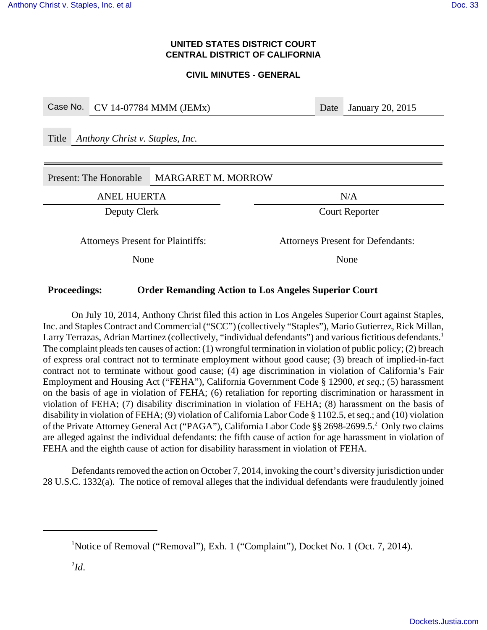#### **UNITED STATES DISTRICT COURT CENTRAL DISTRICT OF CALIFORNIA**

#### **CIVIL MINUTES - GENERAL**

| Case No.                                 |              | CV 14-07784 MMM (JEMx)    | Date | <b>January 20, 2015</b> |  |
|------------------------------------------|--------------|---------------------------|------|-------------------------|--|
| Anthony Christ v. Staples, Inc.<br>Title |              |                           |      |                         |  |
| Present: The Honorable                   |              | <b>MARGARET M. MORROW</b> |      |                         |  |
| <b>ANEL HUERTA</b>                       |              |                           | N/A  |                         |  |
|                                          |              |                           |      |                         |  |
|                                          | Deputy Clerk |                           |      | <b>Court Reporter</b>   |  |

## **Proceedings: Order Remanding Action to Los Angeles Superior Court**

On July 10, 2014, Anthony Christ filed this action in Los Angeles Superior Court against Staples, Inc. and Staples Contract and Commercial ("SCC") (collectively "Staples"), Mario Gutierrez, Rick Millan, Larry Terrazas, Adrian Martinez (collectively, "individual defendants") and various fictitious defendants.<sup>1</sup> The complaint pleads ten causes of action: (1) wrongful termination in violation of public policy; (2) breach of express oral contract not to terminate employment without good cause; (3) breach of implied-in-fact contract not to terminate without good cause; (4) age discrimination in violation of California's Fair Employment and Housing Act ("FEHA"), California Government Code § 12900, *et seq*.; (5) harassment on the basis of age in violation of FEHA; (6) retaliation for reporting discrimination or harassment in violation of FEHA; (7) disability discrimination in violation of FEHA; (8) harassment on the basis of disability in violation of FEHA; (9) violation of California Labor Code § 1102.5, et seq.; and (10) violation of the Private Attorney General Act ("PAGA"), California Labor Code §§ 2698-2699.5.<sup>2</sup> Only two claims are alleged against the individual defendants: the fifth cause of action for age harassment in violation of FEHA and the eighth cause of action for disability harassment in violation of FEHA.

Defendants removed the action on October 7, 2014, invoking the court's diversity jurisdiction under 28 U.S.C. 1332(a). The notice of removal alleges that the individual defendants were fraudulently joined

<sup>&</sup>lt;sup>1</sup>Notice of Removal ("Removal"), Exh. 1 ("Complaint"), Docket No. 1 (Oct. 7, 2014).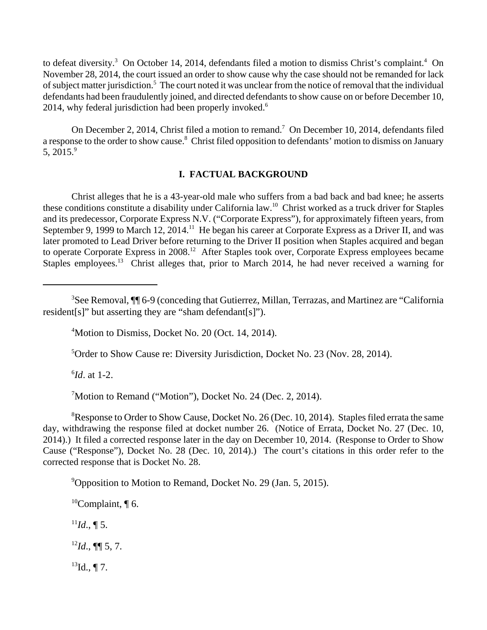to defeat diversity.<sup>3</sup> On October 14, 2014, defendants filed a motion to dismiss Christ's complaint.<sup>4</sup> On November 28, 2014, the court issued an order to show cause why the case should not be remanded for lack of subject matter jurisdiction.<sup>5</sup> The court noted it was unclear from the notice of removal that the individual defendants had been fraudulently joined, and directed defendants to show cause on or before December 10, 2014, why federal jurisdiction had been properly invoked. $6$ 

On December 2, 2014, Christ filed a motion to remand.<sup>7</sup> On December 10, 2014, defendants filed a response to the order to show cause.<sup>8</sup> Christ filed opposition to defendants' motion to dismiss on January 5, 2015.9

#### **I. FACTUAL BACKGROUND**

Christ alleges that he is a 43-year-old male who suffers from a bad back and bad knee; he asserts these conditions constitute a disability under California law.10 Christ worked as a truck driver for Staples and its predecessor, Corporate Express N.V. ("Corporate Express"), for approximately fifteen years, from September 9, 1999 to March 12, 2014.<sup>11</sup> He began his career at Corporate Express as a Driver II, and was later promoted to Lead Driver before returning to the Driver II position when Staples acquired and began to operate Corporate Express in 2008.<sup>12</sup> After Staples took over, Corporate Express employees became Staples employees.<sup>13</sup> Christ alleges that, prior to March 2014, he had never received a warning for

<sup>5</sup>Order to Show Cause re: Diversity Jurisdiction, Docket No. 23 (Nov. 28, 2014).

6 *Id*. at 1-2.

<sup>7</sup>Motion to Remand ("Motion"), Docket No. 24 (Dec. 2, 2014).

 ${}^{8}$ Response to Order to Show Cause, Docket No. 26 (Dec. 10, 2014). Staples filed errata the same day, withdrawing the response filed at docket number 26. (Notice of Errata, Docket No. 27 (Dec. 10, 2014).) It filed a corrected response later in the day on December 10, 2014. (Response to Order to Show Cause ("Response"), Docket No. 28 (Dec. 10, 2014).) The court's citations in this order refer to the corrected response that is Docket No. 28.

<sup>9</sup> Opposition to Motion to Remand, Docket No. 29 (Jan. 5, 2015).

<sup>10</sup>Complaint,  $\P$  6.  $^{11}Id., \P 5.$ 

 $^{12}Id$ ., **¶** 5, 7.

 $^{13}$ Id., ¶ 7.

<sup>&</sup>lt;sup>3</sup>See Removal, ¶¶ 6-9 (conceding that Gutierrez, Millan, Terrazas, and Martinez are "California resident[s]" but asserting they are "sham defendant[s]").

<sup>&</sup>lt;sup>4</sup>Motion to Dismiss, Docket No. 20 (Oct. 14, 2014).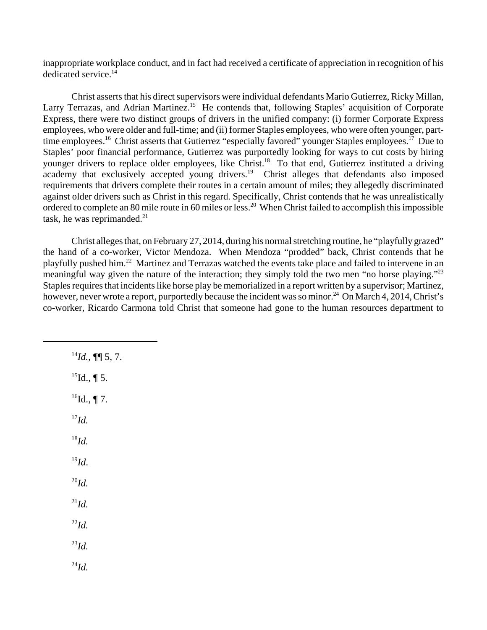inappropriate workplace conduct, and in fact had received a certificate of appreciation in recognition of his dedicated service.<sup>14</sup>

Christ asserts that his direct supervisors were individual defendants Mario Gutierrez, Ricky Millan, Larry Terrazas, and Adrian Martinez.<sup>15</sup> He contends that, following Staples' acquisition of Corporate Express, there were two distinct groups of drivers in the unified company: (i) former Corporate Express employees, who were older and full-time; and (ii) former Staples employees, who were often younger, parttime employees.<sup>16</sup> Christ asserts that Gutierrez "especially favored" younger Staples employees.<sup>17</sup> Due to Staples' poor financial performance, Gutierrez was purportedly looking for ways to cut costs by hiring younger drivers to replace older employees, like Christ.<sup>18</sup> To that end, Gutierrez instituted a driving academy that exclusively accepted young drivers.<sup>19</sup> Christ alleges that defendants also imposed requirements that drivers complete their routes in a certain amount of miles; they allegedly discriminated against older drivers such as Christ in this regard. Specifically, Christ contends that he was unrealistically ordered to complete an 80 mile route in 60 miles or less.<sup>20</sup> When Christ failed to accomplish this impossible task, he was reprimanded. $21$ 

Christ alleges that, on February 27, 2014, during his normal stretching routine, he "playfully grazed" the hand of a co-worker, Victor Mendoza. When Mendoza "prodded" back, Christ contends that he playfully pushed him.22 Martinez and Terrazas watched the events take place and failed to intervene in an meaningful way given the nature of the interaction; they simply told the two men "no horse playing."23 Staples requires that incidents like horse play be memorialized in a report written by a supervisor; Martinez, however, never wrote a report, purportedly because the incident was so minor.<sup>24</sup> On March 4, 2014, Christ's co-worker, Ricardo Carmona told Christ that someone had gone to the human resources department to

 $^{14}Id.$ , ¶[ 5, 7.  $^{15}$ Id., ¶ 5.  $^{16}$ Id., ¶ 7. <sup>17</sup>*Id.* <sup>18</sup>*Id.* <sup>19</sup>*Id*. <sup>20</sup>*Id.*   $^{21}Id.$  $^{22}Id$ .  $^{23}Id$ .  $^{24}$ *Id.*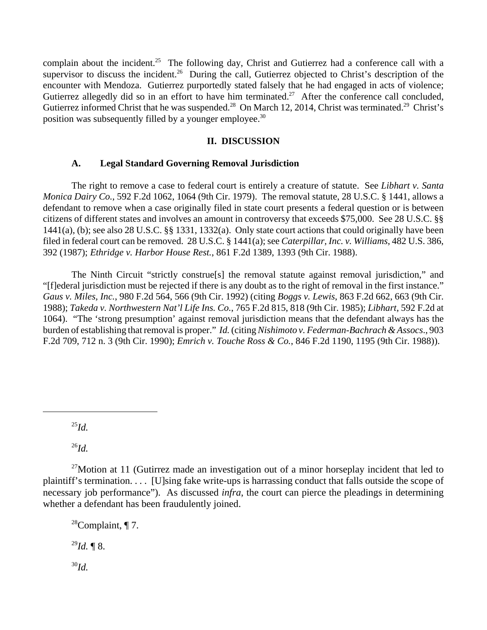complain about the incident.<sup>25</sup> The following day, Christ and Gutierrez had a conference call with a supervisor to discuss the incident.<sup>26</sup> During the call, Gutierrez objected to Christ's description of the encounter with Mendoza. Gutierrez purportedly stated falsely that he had engaged in acts of violence; Gutierrez allegedly did so in an effort to have him terminated.<sup>27</sup> After the conference call concluded, Gutierrez informed Christ that he was suspended.<sup>28</sup> On March 12, 2014, Christ was terminated.<sup>29</sup> Christ's position was subsequently filled by a younger employee.30

## **II. DISCUSSION**

## **A. Legal Standard Governing Removal Jurisdiction**

The right to remove a case to federal court is entirely a creature of statute. See *Libhart v. Santa Monica Dairy Co.*, 592 F.2d 1062, 1064 (9th Cir. 1979). The removal statute, 28 U.S.C. § 1441, allows a defendant to remove when a case originally filed in state court presents a federal question or is between citizens of different states and involves an amount in controversy that exceeds \$75,000. See 28 U.S.C. §§ 1441(a), (b); see also 28 U.S.C. §§ 1331, 1332(a). Only state court actions that could originally have been filed in federal court can be removed. 28 U.S.C. § 1441(a); see *Caterpillar, Inc. v. Williams*, 482 U.S. 386, 392 (1987); *Ethridge v. Harbor House Rest.*, 861 F.2d 1389, 1393 (9th Cir. 1988).

The Ninth Circuit "strictly construe[s] the removal statute against removal jurisdiction," and "[f]ederal jurisdiction must be rejected if there is any doubt as to the right of removal in the first instance." *Gaus v. Miles, Inc.*, 980 F.2d 564, 566 (9th Cir. 1992) (citing *Boggs v. Lewis*, 863 F.2d 662, 663 (9th Cir. 1988); *Takeda v. Northwestern Nat'l Life Ins. Co.*, 765 F.2d 815, 818 (9th Cir. 1985); *Libhart*, 592 F.2d at 1064). "The 'strong presumption' against removal jurisdiction means that the defendant always has the burden of establishing that removal is proper." *Id.* (citing *Nishimoto v. Federman-Bachrach & Assocs*., 903 F.2d 709, 712 n. 3 (9th Cir. 1990); *Emrich v. Touche Ross & Co.*, 846 F.2d 1190, 1195 (9th Cir. 1988)).

<sup>25</sup>*Id.*

<sup>26</sup>*Id.*

 $27$ Motion at 11 (Gutirrez made an investigation out of a minor horseplay incident that led to plaintiff's termination. . . . [U]sing fake write-ups is harrassing conduct that falls outside the scope of necessary job performance"). As discussed *infra*, the court can pierce the pleadings in determining whether a defendant has been fraudulently joined.

<sup>28</sup>Complaint,  $\P$  7.  $^{29}Id.$  ¶ 8.

30*Id.*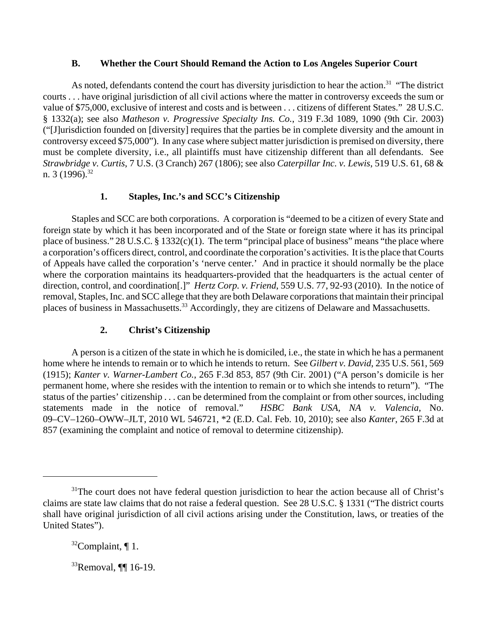## **B. Whether the Court Should Remand the Action to Los Angeles Superior Court**

As noted, defendants contend the court has diversity jurisdiction to hear the action.<sup>31</sup> "The district courts . . . have original jurisdiction of all civil actions where the matter in controversy exceeds the sum or value of \$75,000, exclusive of interest and costs and is between . . . citizens of different States." 28 U.S.C. § 1332(a); see also *Matheson v. Progressive Specialty Ins. Co.*, 319 F.3d 1089, 1090 (9th Cir. 2003) ("[J]urisdiction founded on [diversity] requires that the parties be in complete diversity and the amount in controversy exceed \$75,000"). In any case where subject matter jurisdiction is premised on diversity, there must be complete diversity, i.e., all plaintiffs must have citizenship different than all defendants.See *Strawbridge v. Curtis*, 7 U.S. (3 Cranch) 267 (1806); see also *Caterpillar Inc. v. Lewis*, 519 U.S. 61, 68 & n. 3 (1996).<sup>32</sup>

# **1. Staples, Inc.'s and SCC's Citizenship**

Staples and SCC are both corporations. A corporation is "deemed to be a citizen of every State and foreign state by which it has been incorporated and of the State or foreign state where it has its principal place of business." 28 U.S.C.  $\S 1332(c)(1)$ . The term "principal place of business" means "the place where a corporation's officers direct, control, and coordinate the corporation's activities. It is the place that Courts of Appeals have called the corporation's 'nerve center.' And in practice it should normally be the place where the corporation maintains its headquarters-provided that the headquarters is the actual center of direction, control, and coordination[.]" *Hertz Corp. v. Friend*, 559 U.S. 77, 92-93 (2010). In the notice of removal, Staples, Inc. and SCC allege that they are both Delaware corporations that maintain their principal places of business in Massachusetts.<sup>33</sup> Accordingly, they are citizens of Delaware and Massachusetts.

## **2. Christ's Citizenship**

A person is a citizen of the state in which he is domiciled, i.e., the state in which he has a permanent home where he intends to remain or to which he intends to return. See *Gilbert v. David*, 235 U.S. 561, 569 (1915); *Kanter v. Warner-Lambert Co.*, 265 F.3d 853, 857 (9th Cir. 2001) ("A person's domicile is her permanent home, where she resides with the intention to remain or to which she intends to return"). "The status of the parties' citizenship . . . can be determined from the complaint or from other sources, including statements made in the notice of removal." *HSBC Bank USA, NA v. Valencia*, No. 09–CV–1260–OWW–JLT, 2010 WL 546721, \*2 (E.D. Cal. Feb. 10, 2010); see also *Kanter*, 265 F.3d at 857 (examining the complaint and notice of removal to determine citizenship).

 $31$ <sup>1</sup>The court does not have federal question jurisdiction to hear the action because all of Christ's claims are state law claims that do not raise a federal question. See 28 U.S.C. § 1331 ("The district courts shall have original jurisdiction of all civil actions arising under the Constitution, laws, or treaties of the United States").

 $32$ Complaint, ¶ 1.

 $33$ Removal, ¶[ 16-19.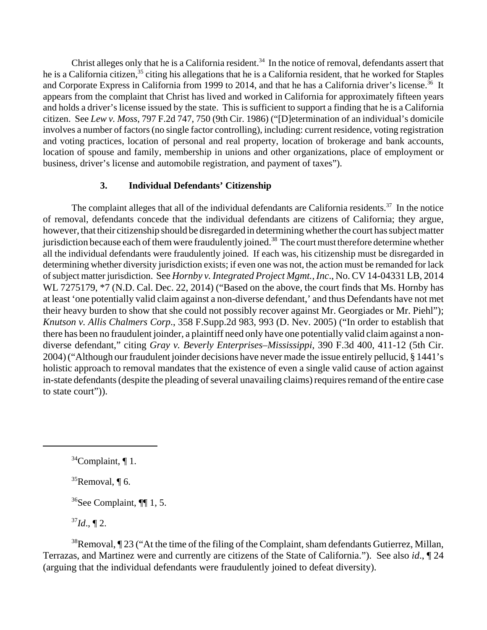Christ alleges only that he is a California resident.<sup>34</sup> In the notice of removal, defendants assert that he is a California citizen,<sup>35</sup> citing his allegations that he is a California resident, that he worked for Staples and Corporate Express in California from 1999 to 2014, and that he has a California driver's license.<sup>36</sup> It appears from the complaint that Christ has lived and worked in California for approximately fifteen years and holds a driver's license issued by the state. This is sufficient to support a finding that he is a California citizen. See *Lew v. Moss*, 797 F.2d 747, 750 (9th Cir. 1986) ("[D]etermination of an individual's domicile involves a number of factors (no single factor controlling), including: current residence, voting registration and voting practices, location of personal and real property, location of brokerage and bank accounts, location of spouse and family, membership in unions and other organizations, place of employment or business, driver's license and automobile registration, and payment of taxes").

## **3. Individual Defendants' Citizenship**

The complaint alleges that all of the individual defendants are California residents.<sup>37</sup> In the notice of removal, defendants concede that the individual defendants are citizens of California; they argue, however, that their citizenship should be disregarded in determining whether the court has subject matter jurisdiction because each of them were fraudulently joined.<sup>38</sup> The court must therefore determine whether all the individual defendants were fraudulently joined. If each was, his citizenship must be disregarded in determining whether diversity jurisdiction exists; if even one was not, the action must be remanded for lack of subject matter jurisdiction. See *Hornby v. Integrated Project Mgmt., Inc*., No. CV 14-04331 LB, 2014 WL 7275179, \*7 (N.D. Cal. Dec. 22, 2014) ("Based on the above, the court finds that Ms. Hornby has at least 'one potentially valid claim against a non-diverse defendant,' and thus Defendants have not met their heavy burden to show that she could not possibly recover against Mr. Georgiades or Mr. Piehl"); *Knutson v. Allis Chalmers Corp*., 358 F.Supp.2d 983, 993 (D. Nev. 2005) ("In order to establish that there has been no fraudulent joinder, a plaintiff need only have one potentially valid claim against a nondiverse defendant," citing *Gray v. Beverly Enterprises–Mississippi*, 390 F.3d 400, 411-12 (5th Cir. 2004) ("Although our fraudulent joinder decisions have never made the issue entirely pellucid, § 1441's holistic approach to removal mandates that the existence of even a single valid cause of action against in-state defendants (despite the pleading of several unavailing claims) requires remand of the entire case to state court")).

 $35$ Removal,  $\P$  6.

 $36$ See Complaint, ¶[ 1, 5.

 $^{37}Id$ ., ¶ 2.

 $38$ Removal,  $\P$  23 ("At the time of the filing of the Complaint, sham defendants Gutierrez, Millan, Terrazas, and Martinez were and currently are citizens of the State of California."). See also *id*., ¶ 24 (arguing that the individual defendants were fraudulently joined to defeat diversity).

 $34$ Complaint, ¶ 1.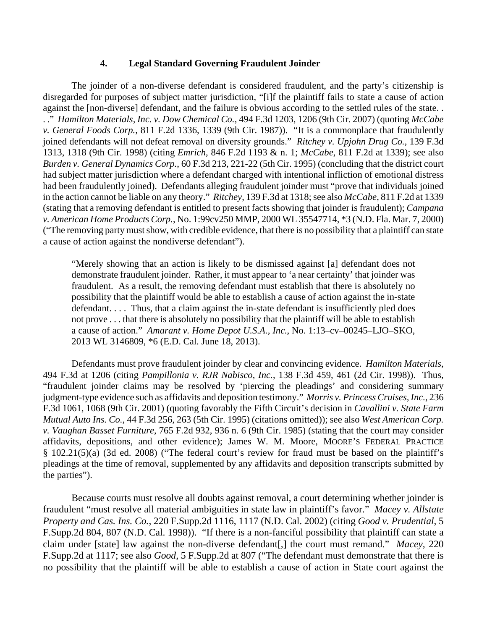## **4. Legal Standard Governing Fraudulent Joinder**

The joinder of a non-diverse defendant is considered fraudulent, and the party's citizenship is disregarded for purposes of subject matter jurisdiction, "[i]f the plaintiff fails to state a cause of action against the [non-diverse] defendant, and the failure is obvious according to the settled rules of the state. . . ." *Hamilton Materials, Inc. v. Dow Chemical Co.*, 494 F.3d 1203, 1206 (9th Cir. 2007) (quoting *McCabe v. General Foods Corp.*, 811 F.2d 1336, 1339 (9th Cir. 1987)). "It is a commonplace that fraudulently joined defendants will not defeat removal on diversity grounds." *Ritchey v. Upjohn Drug Co.*, 139 F.3d 1313, 1318 (9th Cir. 1998) (citing *Emrich*, 846 F.2d 1193 & n. 1; *McCabe*, 811 F.2d at 1339); see also *Burden v. General Dynamics Corp.*, 60 F.3d 213, 221-22 (5th Cir. 1995) (concluding that the district court had subject matter jurisdiction where a defendant charged with intentional infliction of emotional distress had been fraudulently joined). Defendants alleging fraudulent joinder must "prove that individuals joined in the action cannot be liable on any theory." *Ritchey*, 139 F.3d at 1318; see also *McCabe*, 811 F.2d at 1339 (stating that a removing defendant is entitled to present facts showing that joinder is fraudulent); *Campana v. American Home Products Corp.*, No. 1:99cv250 MMP, 2000 WL 35547714, \*3 (N.D. Fla. Mar. 7, 2000) ("The removing party must show, with credible evidence, that there is no possibility that a plaintiff can state a cause of action against the nondiverse defendant").

"Merely showing that an action is likely to be dismissed against [a] defendant does not demonstrate fraudulent joinder. Rather, it must appear to 'a near certainty' that joinder was fraudulent. As a result, the removing defendant must establish that there is absolutely no possibility that the plaintiff would be able to establish a cause of action against the in-state defendant. . . . Thus, that a claim against the in-state defendant is insufficiently pled does not prove . . . that there is absolutely no possibility that the plaintiff will be able to establish a cause of action." *Amarant v. Home Depot U.S.A., Inc.*, No. 1:13–cv–00245–LJO–SKO, 2013 WL 3146809, \*6 (E.D. Cal. June 18, 2013).

Defendants must prove fraudulent joinder by clear and convincing evidence. *Hamilton Materials*, 494 F.3d at 1206 (citing *Pampillonia v. RJR Nabisco*, *Inc.*, 138 F.3d 459, 461 (2d Cir. 1998)). Thus, "fraudulent joinder claims may be resolved by 'piercing the pleadings' and considering summary judgment-type evidence such as affidavits and deposition testimony." *Morris v. Princess Cruises, Inc.*, 236 F.3d 1061, 1068 (9th Cir. 2001) (quoting favorably the Fifth Circuit's decision in *Cavallini v. State Farm Mutual Auto Ins. Co.*, 44 F.3d 256, 263 (5th Cir. 1995) (citations omitted)); see also *West American Corp. v. Vaughan Basset Furniture*, 765 F.2d 932, 936 n. 6 (9th Cir. 1985) (stating that the court may consider affidavits, depositions, and other evidence); James W. M. Moore, MOORE'S FEDERAL PRACTICE § 102.21(5)(a) (3d ed. 2008) ("The federal court's review for fraud must be based on the plaintiff's pleadings at the time of removal, supplemented by any affidavits and deposition transcripts submitted by the parties").

Because courts must resolve all doubts against removal, a court determining whether joinder is fraudulent "must resolve all material ambiguities in state law in plaintiff's favor." *Macey v. Allstate Property and Cas. Ins. Co.*, 220 F.Supp.2d 1116, 1117 (N.D. Cal. 2002) (citing *Good v. Prudential*, 5 F.Supp.2d 804, 807 (N.D. Cal. 1998)). "If there is a non-fanciful possibility that plaintiff can state a claim under [state] law against the non-diverse defendant[,] the court must remand." *Macey*, 220 F.Supp.2d at 1117; see also *Good*, 5 F.Supp.2d at 807 ("The defendant must demonstrate that there is no possibility that the plaintiff will be able to establish a cause of action in State court against the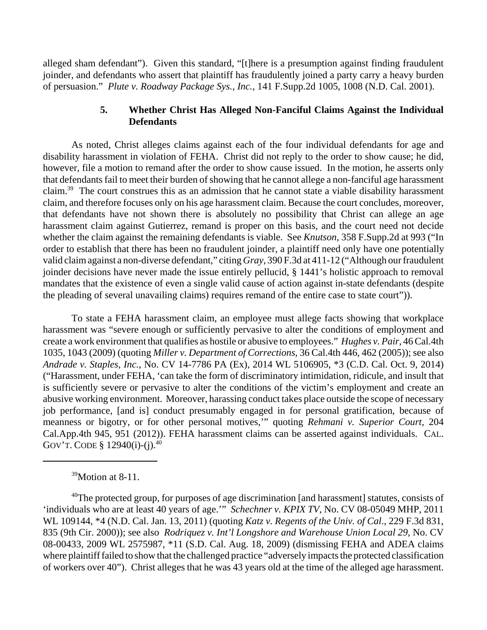alleged sham defendant"). Given this standard, "[t]here is a presumption against finding fraudulent joinder, and defendants who assert that plaintiff has fraudulently joined a party carry a heavy burden of persuasion." *Plute v. Roadway Package Sys., Inc.*, 141 F.Supp.2d 1005, 1008 (N.D. Cal. 2001).

## **5. Whether Christ Has Alleged Non-Fanciful Claims Against the Individual Defendants**

As noted, Christ alleges claims against each of the four individual defendants for age and disability harassment in violation of FEHA. Christ did not reply to the order to show cause; he did, however, file a motion to remand after the order to show cause issued. In the motion, he asserts only that defendants fail to meet their burden of showing that he cannot allege a non-fanciful age harassment claim.39 The court construes this as an admission that he cannot state a viable disability harassment claim, and therefore focuses only on his age harassment claim. Because the court concludes, moreover, that defendants have not shown there is absolutely no possibility that Christ can allege an age harassment claim against Gutierrez, remand is proper on this basis, and the court need not decide whether the claim against the remaining defendants is viable. See *Knutson*, 358 F.Supp.2d at 993 ("In order to establish that there has been no fraudulent joinder, a plaintiff need only have one potentially valid claim against a non-diverse defendant," citing *Gray*, 390 F.3d at 411-12 ("Although our fraudulent joinder decisions have never made the issue entirely pellucid, § 1441's holistic approach to removal mandates that the existence of even a single valid cause of action against in-state defendants (despite the pleading of several unavailing claims) requires remand of the entire case to state court")).

To state a FEHA harassment claim, an employee must allege facts showing that workplace harassment was "severe enough or sufficiently pervasive to alter the conditions of employment and create a work environment that qualifies as hostile or abusive to employees." *Hughes v. Pair*, 46 Cal.4th 1035, 1043 (2009) (quoting *Miller v. Department of Corrections*, 36 Cal.4th 446, 462 (2005)); see also *Andrade v. Staples, Inc.*, No. CV 14-7786 PA (Ex), 2014 WL 5106905, \*3 (C.D. Cal. Oct. 9, 2014) ("Harassment, under FEHA, 'can take the form of discriminatory intimidation, ridicule, and insult that is sufficiently severe or pervasive to alter the conditions of the victim's employment and create an abusive working environment. Moreover, harassing conduct takes place outside the scope of necessary job performance, [and is] conduct presumably engaged in for personal gratification, because of meanness or bigotry, or for other personal motives,'" quoting *Rehmani v. Superior Court*, 204 Cal.App.4th 945, 951 (2012)). FEHA harassment claims can be asserted against individuals. CAL. GOV'T. CODE § 12940(i)-(j).<sup>40</sup>

<sup>39</sup>Motion at 8-11.

<sup>40</sup>The protected group, for purposes of age discrimination [and harassment] statutes, consists of 'individuals who are at least 40 years of age.'" *Schechner v. KPIX TV*, No. CV 08-05049 MHP, 2011 WL 109144, \*4 (N.D. Cal. Jan. 13, 2011) (quoting *Katz v. Regents of the Univ. of Cal*., 229 F.3d 831, 835 (9th Cir. 2000)); see also *Rodriquez v. Int'l Longshore and Warehouse Union Local 29,* No. CV 08-00433, 2009 WL 2575987, \*11 (S.D. Cal. Aug. 18, 2009) (dismissing FEHA and ADEA claims where plaintiff failed to show that the challenged practice "adversely impacts the protected classification of workers over 40"). Christ alleges that he was 43 years old at the time of the alleged age harassment.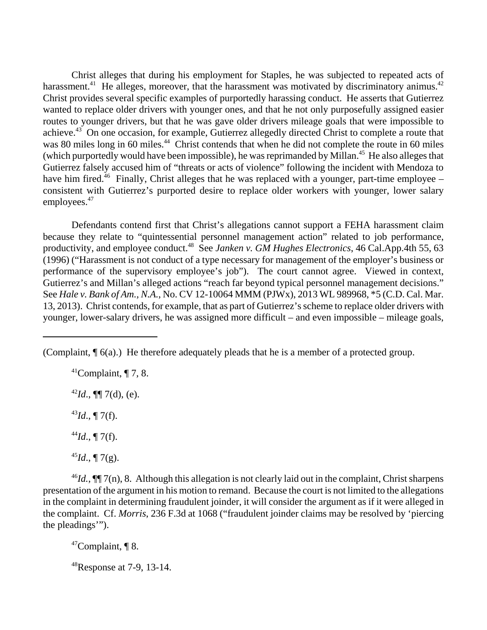Christ alleges that during his employment for Staples, he was subjected to repeated acts of harassment.<sup>41</sup> He alleges, moreover, that the harassment was motivated by discriminatory animus.<sup>42</sup> Christ provides several specific examples of purportedly harassing conduct. He asserts that Gutierrez wanted to replace older drivers with younger ones, and that he not only purposefully assigned easier routes to younger drivers, but that he was gave older drivers mileage goals that were impossible to achieve.43 On one occasion, for example, Gutierrez allegedly directed Christ to complete a route that was 80 miles long in 60 miles.<sup>44</sup> Christ contends that when he did not complete the route in 60 miles (which purportedly would have been impossible), he was reprimanded by Millan.45 He also alleges that Gutierrez falsely accused him of "threats or acts of violence" following the incident with Mendoza to have him fired.<sup>46</sup> Finally, Christ alleges that he was replaced with a younger, part-time employee – consistent with Gutierrez's purported desire to replace older workers with younger, lower salary employees.<sup>47</sup>

Defendants contend first that Christ's allegations cannot support a FEHA harassment claim because they relate to "quintessential personnel management action" related to job performance, productivity, and employee conduct.48 See *Janken v. GM Hughes Electronics*, 46 Cal.App.4th 55, 63 (1996) ("Harassment is not conduct of a type necessary for management of the employer's business or performance of the supervisory employee's job"). The court cannot agree. Viewed in context, Gutierrez's and Millan's alleged actions "reach far beyond typical personnel management decisions." See *Hale v. Bank of Am., N.A.*, No. CV 12-10064 MMM (PJWx), 2013 WL 989968, \*5 (C.D. Cal. Mar. 13, 2013). Christ contends, for example, that as part of Gutierrez's scheme to replace older drivers with younger, lower-salary drivers, he was assigned more difficult – and even impossible – mileage goals,

(Complaint, ¶ 6(a).) He therefore adequately pleads that he is a member of a protected group.

 $^{41}$ Complaint, ¶ 7, 8.  $^{42}Id$ ., **[[**] 7(d), (e).  $^{43}Id.$ , ¶ 7(f).  $^{44}Id.$ , ¶ 7(f).  $45$ *Id.*, ¶ 7(g).

 $^{46}Id$ .,  $\P\P$ <sup>7(n)</sup>, 8. Although this allegation is not clearly laid out in the complaint, Christ sharpens presentation of the argument in his motion to remand. Because the court is not limited to the allegations in the complaint in determining fraudulent joinder, it will consider the argument as if it were alleged in the complaint. Cf. *Morris*, 236 F.3d at 1068 ("fraudulent joinder claims may be resolved by 'piercing the pleadings'").

 $47$ Complaint, ¶ 8.

 $48$ Response at 7-9, 13-14.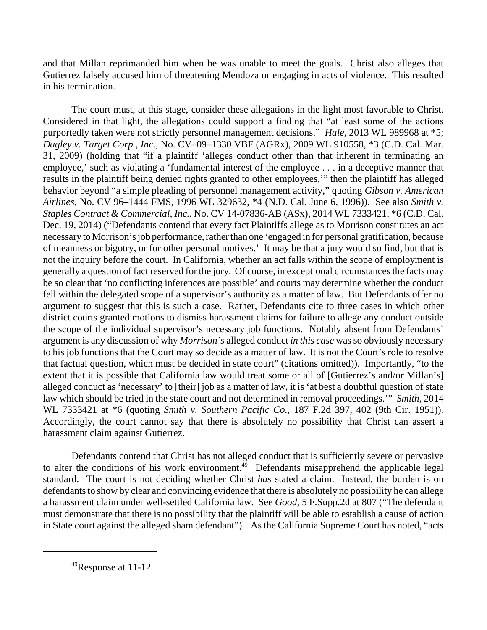and that Millan reprimanded him when he was unable to meet the goals. Christ also alleges that Gutierrez falsely accused him of threatening Mendoza or engaging in acts of violence. This resulted in his termination.

The court must, at this stage, consider these allegations in the light most favorable to Christ. Considered in that light, the allegations could support a finding that "at least some of the actions purportedly taken were not strictly personnel management decisions." *Hale*, 2013 WL 989968 at \*5; *Dagley v. Target Corp., Inc*., No. CV–09–1330 VBF (AGRx), 2009 WL 910558, \*3 (C.D. Cal. Mar. 31, 2009) (holding that "if a plaintiff 'alleges conduct other than that inherent in terminating an employee,' such as violating a 'fundamental interest of the employee . . . in a deceptive manner that results in the plaintiff being denied rights granted to other employees,'" then the plaintiff has alleged behavior beyond "a simple pleading of personnel management activity," quoting *Gibson v. American Airlines*, No. CV 96–1444 FMS, 1996 WL 329632, \*4 (N.D. Cal. June 6, 1996)). See also *Smith v. Staples Contract & Commercial, Inc.*, No. CV 14-07836-AB (ASx), 2014 WL 7333421, \*6 (C.D. Cal. Dec. 19, 2014) ("Defendants contend that every fact Plaintiffs allege as to Morrison constitutes an act necessary to Morrison's job performance, rather than one 'engaged in for personal gratification, because of meanness or bigotry, or for other personal motives.' It may be that a jury would so find, but that is not the inquiry before the court. In California, whether an act falls within the scope of employment is generally a question of fact reserved for the jury. Of course, in exceptional circumstances the facts may be so clear that 'no conflicting inferences are possible' and courts may determine whether the conduct fell within the delegated scope of a supervisor's authority as a matter of law. But Defendants offer no argument to suggest that this is such a case. Rather, Defendants cite to three cases in which other district courts granted motions to dismiss harassment claims for failure to allege any conduct outside the scope of the individual supervisor's necessary job functions. Notably absent from Defendants' argument is any discussion of why *Morrison's* alleged conduct *in this case* was so obviously necessary to his job functions that the Court may so decide as a matter of law. It is not the Court's role to resolve that factual question, which must be decided in state court" (citations omitted)). Importantly, "to the extent that it is possible that California law would treat some or all of [Gutierrez's and/or Millan's] alleged conduct as 'necessary' to [their] job as a matter of law, it is 'at best a doubtful question of state law which should be tried in the state court and not determined in removal proceedings.'" *Smith*, 2014 WL 7333421 at \*6 (quoting *Smith v. Southern Pacific Co.*, 187 F.2d 397, 402 (9th Cir. 1951)). Accordingly, the court cannot say that there is absolutely no possibility that Christ can assert a harassment claim against Gutierrez.

Defendants contend that Christ has not alleged conduct that is sufficiently severe or pervasive to alter the conditions of his work environment.<sup>49</sup> Defendants misapprehend the applicable legal standard. The court is not deciding whether Christ *has* stated a claim. Instead, the burden is on defendants to show by clear and convincing evidence that there is absolutely no possibility he can allege a harassment claim under well-settled California law. See *Good*, 5 F.Supp.2d at 807 ("The defendant must demonstrate that there is no possibility that the plaintiff will be able to establish a cause of action in State court against the alleged sham defendant"). As the California Supreme Court has noted, "acts

 $^{49}$ Response at 11-12.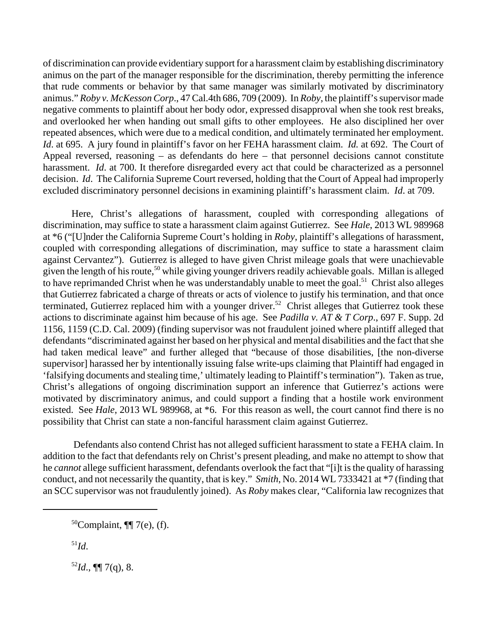of discrimination can provide evidentiary support for a harassment claim by establishing discriminatory animus on the part of the manager responsible for the discrimination, thereby permitting the inference that rude comments or behavior by that same manager was similarly motivated by discriminatory animus." *Roby v. McKesson Corp*., 47 Cal.4th 686, 709 (2009). In *Roby*, the plaintiff's supervisor made negative comments to plaintiff about her body odor, expressed disapproval when she took rest breaks, and overlooked her when handing out small gifts to other employees. He also disciplined her over repeated absences, which were due to a medical condition, and ultimately terminated her employment. *Id*. at 695. A jury found in plaintiff's favor on her FEHA harassment claim. *Id.* at 692. The Court of Appeal reversed, reasoning – as defendants do here – that personnel decisions cannot constitute harassment. *Id*. at 700. It therefore disregarded every act that could be characterized as a personnel decision. *Id*. The California Supreme Court reversed, holding that the Court of Appeal had improperly excluded discriminatory personnel decisions in examining plaintiff's harassment claim. *Id*. at 709.

Here, Christ's allegations of harassment, coupled with corresponding allegations of discrimination, may suffice to state a harassment claim against Gutierrez. See *Hale*, 2013 WL 989968 at \*6 ("[U]nder the California Supreme Court's holding in *Roby*, plaintiff's allegations of harassment, coupled with corresponding allegations of discrimination, may suffice to state a harassment claim against Cervantez"). Gutierrez is alleged to have given Christ mileage goals that were unachievable given the length of his route,<sup>50</sup> while giving younger drivers readily achievable goals. Millan is alleged to have reprimanded Christ when he was understandably unable to meet the goal.<sup>51</sup> Christ also alleges that Gutierrez fabricated a charge of threats or acts of violence to justify his termination, and that once terminated, Gutierrez replaced him with a younger driver.<sup>52</sup> Christ alleges that Gutierrez took these actions to discriminate against him because of his age. See *Padilla v. AT & T Corp*., 697 F. Supp. 2d 1156, 1159 (C.D. Cal. 2009) (finding supervisor was not fraudulent joined where plaintiff alleged that defendants "discriminated against her based on her physical and mental disabilities and the fact that she had taken medical leave" and further alleged that "because of those disabilities, [the non-diverse supervisor] harassed her by intentionally issuing false write-ups claiming that Plaintiff had engaged in 'falsifying documents and stealing time,' ultimately leading to Plaintiff's termination"). Taken as true, Christ's allegations of ongoing discrimination support an inference that Gutierrez's actions were motivated by discriminatory animus, and could support a finding that a hostile work environment existed. See *Hale*, 2013 WL 989968, at \*6. For this reason as well, the court cannot find there is no possibility that Christ can state a non-fanciful harassment claim against Gutierrez.

 Defendants also contend Christ has not alleged sufficient harassment to state a FEHA claim. In addition to the fact that defendants rely on Christ's present pleading, and make no attempt to show that he *cannot* allege sufficient harassment, defendants overlook the fact that "[i]t is the quality of harassing conduct, and not necessarily the quantity, that is key." *Smith*, No. 2014 WL 7333421 at \*7 (finding that an SCC supervisor was not fraudulently joined). As *Roby* makes clear, "California law recognizes that

<sup>51</sup>*Id*.

 $52$ *Id.*, **[[**] 7(q), 8.

<sup>50</sup>Complaint, ¶¶ 7(e), (f).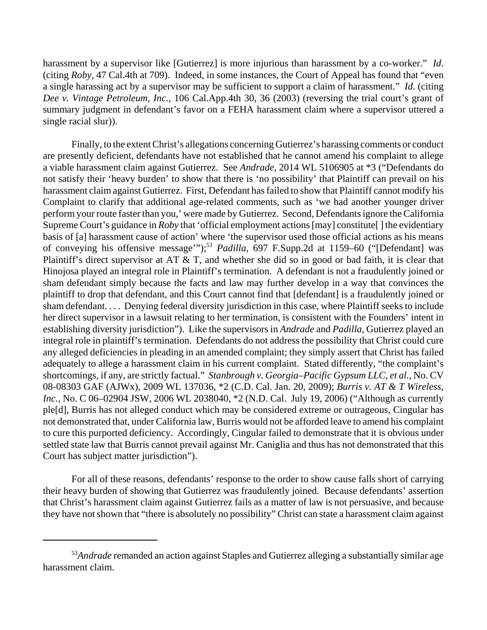harassment by a supervisor like [Gutierrez] is more injurious than harassment by a co-worker." *Id*. (citing *Roby*, 47 Cal.4th at 709). Indeed, in some instances, the Court of Appeal has found that "even a single harassing act by a supervisor may be sufficient to support a claim of harassment." *Id*. (citing *Dee v. Vintage Petroleum, Inc*., 106 Cal.App.4th 30, 36 (2003) (reversing the trial court's grant of summary judgment in defendant's favor on a FEHA harassment claim where a supervisor uttered a single racial slur)).

Finally, to the extent Christ's allegations concerning Gutierrez's harassing comments or conduct are presently deficient, defendants have not established that he cannot amend his complaint to allege a viable harassment claim against Gutierrez. See *Andrade*, 2014 WL 5106905 at \*3 ("Defendants do not satisfy their 'heavy burden' to show that there is 'no possibility' that Plaintiff can prevail on his harassment claim against Gutierrez. First, Defendant has failed to show that Plaintiff cannot modify his Complaint to clarify that additional age-related comments, such as 'we had another younger driver perform your route faster than you,' were made by Gutierrez. Second, Defendants ignore the California Supreme Court's guidance in *Roby* that 'official employment actions [may] constitute[] the evidentiary basis of [a] harassment cause of action' where 'the supervisor used those official actions as his means of conveying his offensive message"");<sup>53</sup> *Padilla*, 697 F.Supp.2d at 1159–60 ("[Defendant] was Plaintiff's direct supervisor at AT & T, and whether she did so in good or bad faith, it is clear that Hinojosa played an integral role in Plaintiff's termination. A defendant is not a fraudulently joined or sham defendant simply because the facts and law may further develop in a way that convinces the plaintiff to drop that defendant, and this Court cannot find that [defendant] is a fraudulently joined or sham defendant. . . . Denying federal diversity jurisdiction in this case, where Plaintiff seeks to include her direct supervisor in a lawsuit relating to her termination, is consistent with the Founders' intent in establishing diversity jurisdiction"). Like the supervisors in *Andrade* and *Padilla*, Gutierrez played an integral role in plaintiff's termination. Defendants do not address the possibility that Christ could cure any alleged deficiencies in pleading in an amended complaint; they simply assert that Christ has failed adequately to allege a harassment claim in his current complaint. Stated differently, "the complaint's shortcomings, if any, are strictly factual." *Stanbrough v. Georgia–Pacific Gypsum LLC, et al.*, No. CV 08-08303 GAF (AJWx), 2009 WL 137036, \*2 (C.D. Cal. Jan. 20, 2009); *Burris v. AT & T Wireless, Inc.,* No. C 06–02904 JSW, 2006 WL 2038040, \*2 (N.D. Cal. July 19, 2006) ("Although as currently ple[d], Burris has not alleged conduct which may be considered extreme or outrageous, Cingular has not demonstrated that, under California law, Burris would not be afforded leave to amend his complaint to cure this purported deficiency. Accordingly, Cingular failed to demonstrate that it is obvious under settled state law that Burris cannot prevail against Mr. Caniglia and thus has not demonstrated that this Court has subject matter jurisdiction").

For all of these reasons, defendants' response to the order to show cause falls short of carrying their heavy burden of showing that Gutierrez was fraudulently joined. Because defendants' assertion that Christ's harassment claim against Gutierrez fails as a matter of law is not persuasive, and because they have not shown that "there is absolutely no possibility" Christ can state a harassment claim against

<sup>53</sup>*Andrade* remanded an action against Staples and Gutierrez alleging a substantially similar age harassment claim.